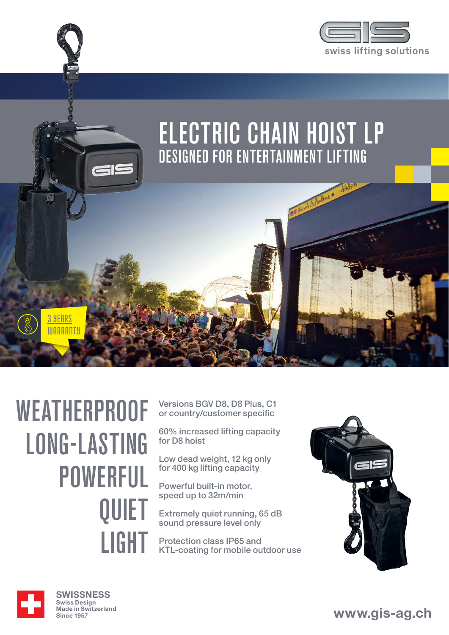



# **WEATHERPROOF** LONG-LASTING POWERFUL QUIET LIGHT

Versions BGV D8, D8 Plus, C1 or country/customer specific

60% increased lifting capacity for D8 hoist

Low dead weight, 12 kg only for 400 kg lifting capacity

Powerful built-in motor, speed up to 32m/min

Extremely quiet running, 65 dB sound pressure level only

Protection class IP65 and KTL-coating for mobile outdoor use





**SWISSNESS** Swiss Design Made in Switzerland Since 1957

**www.gis-ag.ch**